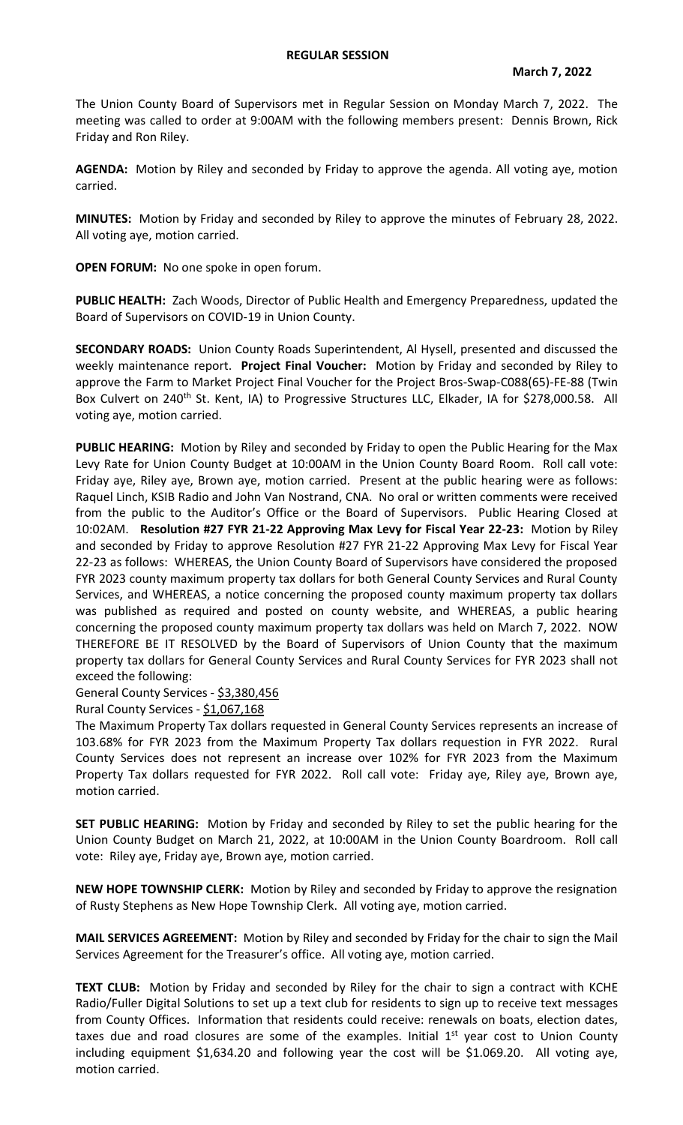## **REGULAR SESSION**

The Union County Board of Supervisors met in Regular Session on Monday March 7, 2022. The meeting was called to order at 9:00AM with the following members present: Dennis Brown, Rick Friday and Ron Riley.

**AGENDA:** Motion by Riley and seconded by Friday to approve the agenda. All voting aye, motion carried.

**MINUTES:** Motion by Friday and seconded by Riley to approve the minutes of February 28, 2022. All voting aye, motion carried.

**OPEN FORUM:** No one spoke in open forum.

**PUBLIC HEALTH:** Zach Woods, Director of Public Health and Emergency Preparedness, updated the Board of Supervisors on COVID-19 in Union County.

**SECONDARY ROADS:** Union County Roads Superintendent, Al Hysell, presented and discussed the weekly maintenance report. **Project Final Voucher:** Motion by Friday and seconded by Riley to approve the Farm to Market Project Final Voucher for the Project Bros-Swap-C088(65)-FE-88 (Twin Box Culvert on 240<sup>th</sup> St. Kent, IA) to Progressive Structures LLC, Elkader, IA for \$278,000.58. All voting aye, motion carried.

**PUBLIC HEARING:** Motion by Riley and seconded by Friday to open the Public Hearing for the Max Levy Rate for Union County Budget at 10:00AM in the Union County Board Room. Roll call vote: Friday aye, Riley aye, Brown aye, motion carried. Present at the public hearing were as follows: Raquel Linch, KSIB Radio and John Van Nostrand, CNA. No oral or written comments were received from the public to the Auditor's Office or the Board of Supervisors. Public Hearing Closed at 10:02AM. **Resolution #27 FYR 21-22 Approving Max Levy for Fiscal Year 22-23:** Motion by Riley and seconded by Friday to approve Resolution #27 FYR 21-22 Approving Max Levy for Fiscal Year 22-23 as follows: WHEREAS, the Union County Board of Supervisors have considered the proposed FYR 2023 county maximum property tax dollars for both General County Services and Rural County Services, and WHEREAS, a notice concerning the proposed county maximum property tax dollars was published as required and posted on county website, and WHEREAS, a public hearing concerning the proposed county maximum property tax dollars was held on March 7, 2022. NOW THEREFORE BE IT RESOLVED by the Board of Supervisors of Union County that the maximum property tax dollars for General County Services and Rural County Services for FYR 2023 shall not exceed the following:

General County Services - \$3,380,456

Rural County Services - \$1,067,168

The Maximum Property Tax dollars requested in General County Services represents an increase of 103.68% for FYR 2023 from the Maximum Property Tax dollars requestion in FYR 2022. Rural County Services does not represent an increase over 102% for FYR 2023 from the Maximum Property Tax dollars requested for FYR 2022. Roll call vote: Friday aye, Riley aye, Brown aye, motion carried.

**SET PUBLIC HEARING:** Motion by Friday and seconded by Riley to set the public hearing for the Union County Budget on March 21, 2022, at 10:00AM in the Union County Boardroom. Roll call vote: Riley aye, Friday aye, Brown aye, motion carried.

**NEW HOPE TOWNSHIP CLERK:** Motion by Riley and seconded by Friday to approve the resignation of Rusty Stephens as New Hope Township Clerk. All voting aye, motion carried.

**MAIL SERVICES AGREEMENT:** Motion by Riley and seconded by Friday for the chair to sign the Mail Services Agreement for the Treasurer's office. All voting aye, motion carried.

**TEXT CLUB:** Motion by Friday and seconded by Riley for the chair to sign a contract with KCHE Radio/Fuller Digital Solutions to set up a text club for residents to sign up to receive text messages from County Offices. Information that residents could receive: renewals on boats, election dates, taxes due and road closures are some of the examples. Initial 1<sup>st</sup> year cost to Union County including equipment \$1,634.20 and following year the cost will be \$1.069.20. All voting aye, motion carried.